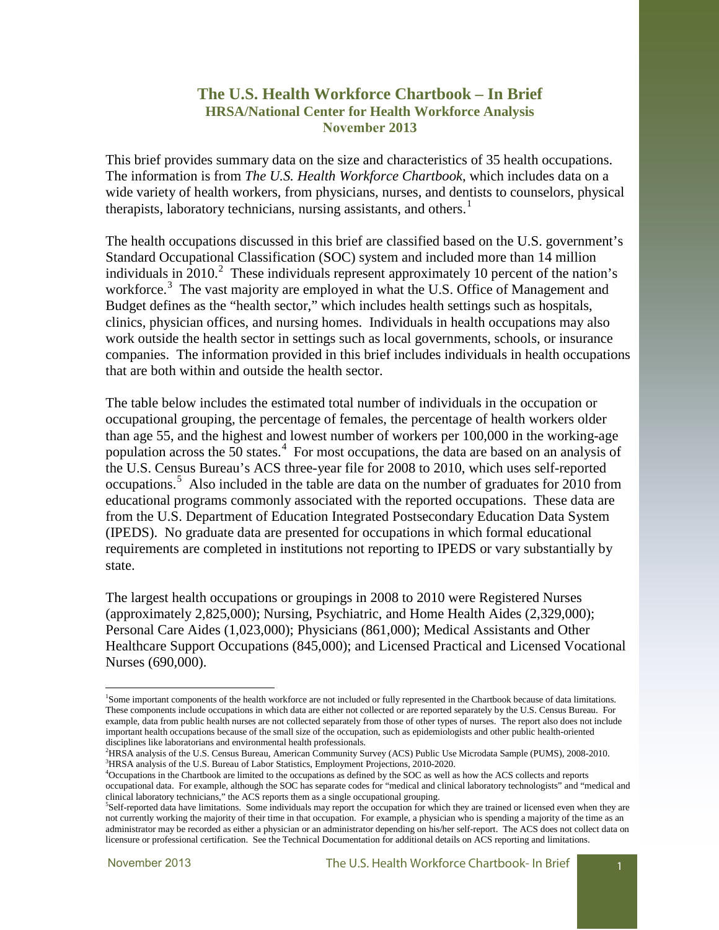### **The U.S. Health Workforce Chartbook – In Brief HRSA/National Center for Health Workforce Analysis November 2013**

This brief provides summary data on the size and characteristics of 35 health occupations. The information is from *The U.S. Health Workforce Chartbook*, which includes data on a wide variety of health workers, from physicians, nurses, and dentists to counselors, physical therapists, laboratory technicians, nursing assistants, and others.<sup>[1](#page-0-0)</sup>

The health occupations discussed in this brief are classified based on the U.S. government's Standard Occupational Classification (SOC) system and included more than 14 million individuals in  $2010<sup>2</sup>$  $2010<sup>2</sup>$  These individuals represent approximately 10 percent of the nation's workforce.<sup>[3](#page-0-2)</sup> The vast majority are employed in what the U.S. Office of Management and Budget defines as the "health sector," which includes health settings such as hospitals, clinics, physician offices, and nursing homes. Individuals in health occupations may also work outside the health sector in settings such as local governments, schools, or insurance companies. The information provided in this brief includes individuals in health occupations that are both within and outside the health sector.

The table below includes the estimated total number of individuals in the occupation or occupational grouping, the percentage of females, the percentage of health workers older than age 55, and the highest and lowest number of workers per 100,000 in the working-age population across the 50 states.<sup>[4](#page-0-3)</sup> For most occupations, the data are based on an analysis of the U.S. Census Bureau's ACS three-year file for 2008 to 2010, which uses self-reported occupations.<sup>[5](#page-0-4)</sup> Also included in the table are data on the number of graduates for 2010 from educational programs commonly associated with the reported occupations. These data are from the U.S. Department of Education Integrated Postsecondary Education Data System (IPEDS). No graduate data are presented for occupations in which formal educational requirements are completed in institutions not reporting to IPEDS or vary substantially by state.

The largest health occupations or groupings in 2008 to 2010 were Registered Nurses (approximately 2,825,000); Nursing, Psychiatric, and Home Health Aides (2,329,000); Personal Care Aides (1,023,000); Physicians (861,000); Medical Assistants and Other Healthcare Support Occupations (845,000); and Licensed Practical and Licensed Vocational Nurses (690,000).

<span id="page-0-0"></span><sup>1</sup> Some important components of the health workforce are not included or fully represented in the Chartbook because of data limitations. These components include occupations in which data are either not collected or are reported separately by the U.S. Census Bureau. For example, data from public health nurses are not collected separately from those of other types of nurses. The report also does not include important health occupations because of the small size of the occupation, such as epidemiologists and other public health-oriented disciplines like laboratorians and environmental health professionals.

<span id="page-0-1"></span><sup>2</sup> HRSA analysis of the U.S. Census Bureau, American Community Survey (ACS) Public Use Microdata Sample (PUMS), 2008-2010.  $^{3}$ HRSA analysis of the U.S. Bureau of Labor Statistics, Employment Projections, 2010-2020.

<span id="page-0-3"></span><span id="page-0-2"></span><sup>&</sup>lt;sup>4</sup>Occupations in the Chartbook are limited to the occupations as defined by the SOC as well as how the ACS collects and reports occupational data. For example, although the SOC has separate codes for "medical and clinical laboratory technologists" and "medical and clinical laboratory technicians," the ACS reports them as a single occupational grouping. 5

<span id="page-0-4"></span>Self-reported data have limitations. Some individuals may report the occupation for which they are trained or licensed even when they are not currently working the majority of their time in that occupation. For example, a physician who is spending a majority of the time as an administrator may be recorded as either a physician or an administrator depending on his/her self-report. The ACS does not collect data on licensure or professional certification. See the Technical Documentation for additional details on ACS reporting and limitations.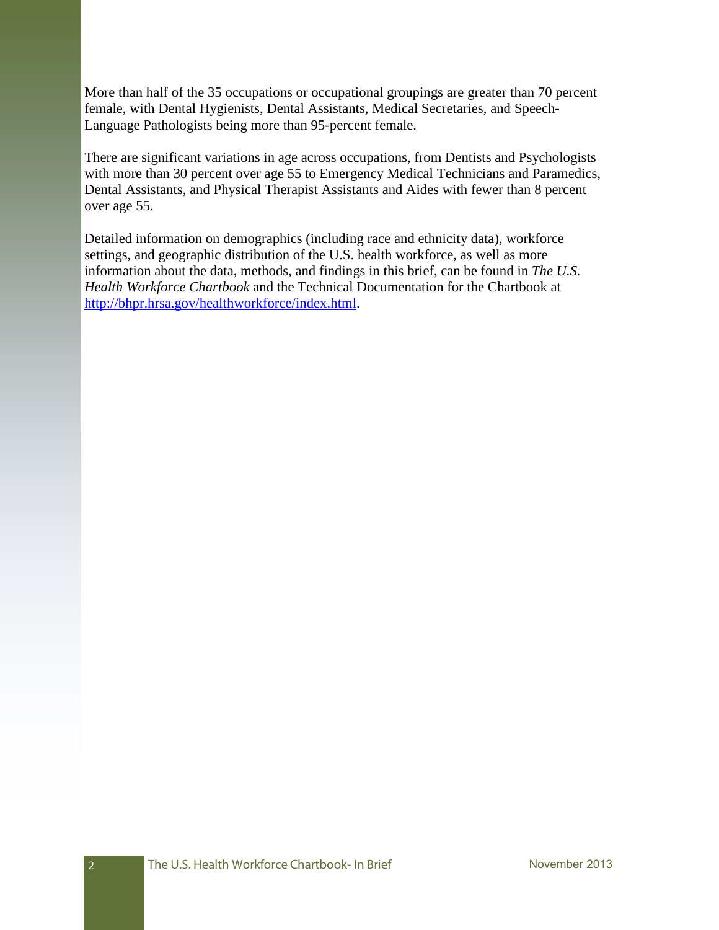More than half of the 35 occupations or occupational groupings are greater than 70 percent female, with Dental Hygienists, Dental Assistants, Medical Secretaries, and Speech-Language Pathologists being more than 95-percent female.

There are significant variations in age across occupations, from Dentists and Psychologists with more than 30 percent over age 55 to Emergency Medical Technicians and Paramedics, Dental Assistants, and Physical Therapist Assistants and Aides with fewer than 8 percent over age 55.

Detailed information on demographics (including race and ethnicity data), workforce settings, and geographic distribution of the U.S. health workforce, as well as more information about the data, methods, and findings in this brief, can be found in *The U.S. Health Workforce Chartbook* and the Technical Documentation for the Chartbook at [http://bhpr.hrsa.gov/healthworkforce/index.html.](http://bhpr.hrsa.gov/healthworkforce/index.html)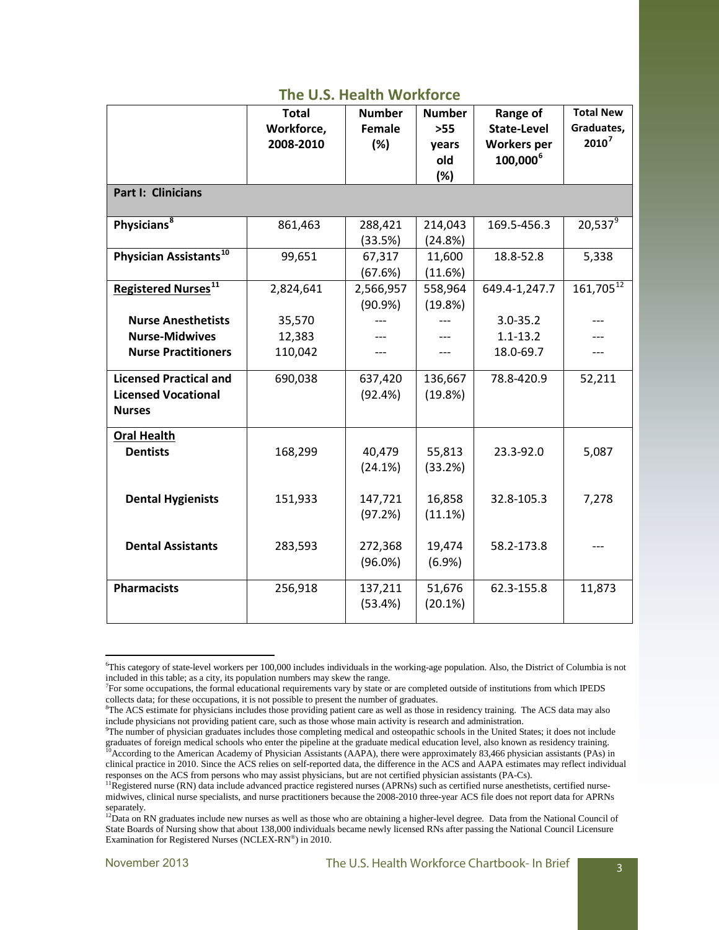|                                        | <b>Total</b> | <b>Number</b> | <b>Number</b> | Range of             | <b>Total New</b> |  |
|----------------------------------------|--------------|---------------|---------------|----------------------|------------------|--|
|                                        | Workforce,   | <b>Female</b> | $>55$         | <b>State-Level</b>   | Graduates,       |  |
|                                        | 2008-2010    | (%)           | years         | <b>Workers</b> per   | $2010^7$         |  |
|                                        |              |               | old           | 100,000 <sup>6</sup> |                  |  |
|                                        |              |               | (%)           |                      |                  |  |
| <b>Part I: Clinicians</b>              |              |               |               |                      |                  |  |
|                                        |              |               |               |                      |                  |  |
| Physicians <sup>8</sup>                | 861,463      | 288,421       | 214,043       | 169.5-456.3          | $20,537^9$       |  |
|                                        |              | (33.5%)       | (24.8%)       |                      |                  |  |
| Physician Assistants <sup>10</sup>     | 99,651       | 67,317        | 11,600        | 18.8-52.8            | 5,338            |  |
|                                        |              | (67.6%)       | (11.6%)       |                      |                  |  |
| <b>Registered Nurses</b> <sup>11</sup> | 2,824,641    | 2,566,957     | 558,964       | 649.4-1,247.7        | $161,705^{12}$   |  |
|                                        |              | (90.9%)       | (19.8%)       |                      |                  |  |
| <b>Nurse Anesthetists</b>              | 35,570       |               |               | $3.0 - 35.2$         |                  |  |
| <b>Nurse-Midwives</b>                  | 12,383       |               |               | $1.1 - 13.2$         |                  |  |
| <b>Nurse Practitioners</b>             | 110,042      |               | ---           | 18.0-69.7            |                  |  |
|                                        |              |               |               |                      |                  |  |
| <b>Licensed Practical and</b>          | 690,038      | 637,420       | 136,667       | 78.8-420.9           | 52,211           |  |
| <b>Licensed Vocational</b>             |              | (92.4%)       | (19.8%)       |                      |                  |  |
| <b>Nurses</b>                          |              |               |               |                      |                  |  |
| <b>Oral Health</b>                     |              |               |               |                      |                  |  |
| <b>Dentists</b>                        |              | 40,479        |               | 23.3-92.0            |                  |  |
|                                        | 168,299      |               | 55,813        |                      | 5,087            |  |
|                                        |              | (24.1%)       | (33.2%)       |                      |                  |  |
|                                        |              |               |               | 32.8-105.3           |                  |  |
| <b>Dental Hygienists</b>               | 151,933      | 147,721       | 16,858        |                      | 7,278            |  |
|                                        |              | (97.2%)       | (11.1%)       |                      |                  |  |
| <b>Dental Assistants</b>               |              | 272,368       | 19,474        | 58.2-173.8           |                  |  |
|                                        | 283,593      |               |               |                      |                  |  |
|                                        |              | $(96.0\%)$    | (6.9%)        |                      |                  |  |
| <b>Pharmacists</b>                     | 256,918      | 137,211       | 51,676        | 62.3-155.8           | 11,873           |  |
|                                        |              | (53.4%)       | (20.1%)       |                      |                  |  |
|                                        |              |               |               |                      |                  |  |

<span id="page-2-0"></span><sup>6</sup> This category of state-level workers per 100,000 includes individuals in the working-age population. Also, the District of Columbia is not included in this table; as a city, its population numbers may skew the range.

<span id="page-2-1"></span><sup>7</sup> For some occupations, the formal educational requirements vary by state or are completed outside of institutions from which IPEDS collects data; for these occupations, it is not possible to present the number of graduates.

<span id="page-2-2"></span><sup>&</sup>lt;sup>8</sup>The ACS estimate for physicians includes those providing patient care as well as those in residency training. The ACS data may also include physicians not providing patient care, such as those whose main activity is research and administration. 9

<span id="page-2-4"></span><span id="page-2-3"></span>The number of physician graduates includes those completing medical and osteopathic schools in the United States; it does not include graduates of foreign medical schools who enter the pipeline at the graduate medical education level, also known as residency training. <sup>10</sup>According to the American Academy of Physician Assistants (AAPA), there were approximately 83,466 physician assistants (PAs) in clinical practice in 2010. Since the ACS relies on self-reported data, the difference in the ACS and AAPA estimates may reflect individual responses on the ACS from persons who may assist physicians, but are not certified physician assistants (PA-Cs).

<span id="page-2-5"></span><sup>&</sup>lt;sup>11</sup>Registered nurse (RN) data include advanced practice registered nurses (APRNs) such as certified nurse anesthetists, certified nursemidwives, clinical nurse specialists, and nurse practitioners because the 2008-2010 three-year ACS file does not report data for APRNs separately.

<span id="page-2-6"></span><sup>&</sup>lt;sup>12</sup>Data on RN graduates include new nurses as well as those who are obtaining a higher-level degree. Data from the National Council of State Boards of Nursing show that about 138,000 individuals became newly licensed RNs after passing the National Council Licensure Examination for Registered Nurses (NCLEX-RN®) in 2010.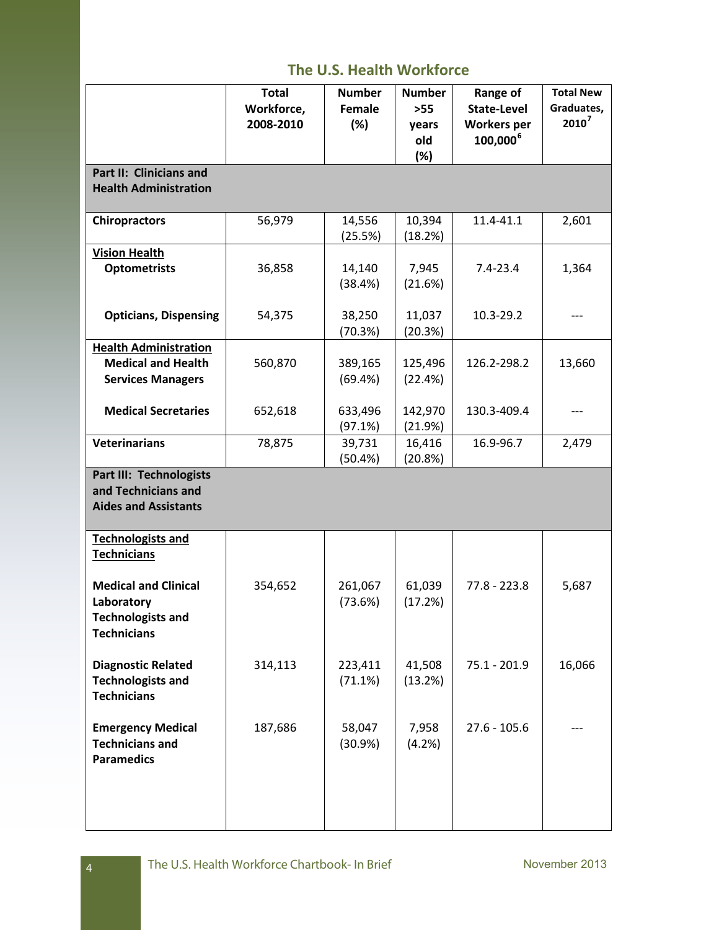|                                                                                             | <b>Total</b><br>Workforce,<br>2008-2010 | <b>Number</b><br>Female<br>(%) | <b>Number</b><br>$>55$<br>years<br>old<br>(%) | Range of<br><b>State-Level</b><br><b>Workers per</b><br>100,000 <sup>6</sup> | <b>Total New</b><br>Graduates,<br>$2010^7$ |  |
|---------------------------------------------------------------------------------------------|-----------------------------------------|--------------------------------|-----------------------------------------------|------------------------------------------------------------------------------|--------------------------------------------|--|
| Part II: Clinicians and<br><b>Health Administration</b>                                     |                                         |                                |                                               |                                                                              |                                            |  |
| <b>Chiropractors</b>                                                                        | 56,979                                  | 14,556<br>(25.5%)              | 10,394<br>(18.2%)                             | 11.4-41.1                                                                    | 2,601                                      |  |
| <b>Vision Health</b><br><b>Optometrists</b>                                                 | 36,858                                  | 14,140<br>(38.4%)              | 7,945<br>(21.6%)                              | $7.4 - 23.4$                                                                 | 1,364                                      |  |
| <b>Opticians, Dispensing</b>                                                                | 54,375                                  | 38,250<br>(70.3%)              | 11,037<br>(20.3%)                             | 10.3-29.2                                                                    |                                            |  |
| <b>Health Administration</b><br><b>Medical and Health</b><br><b>Services Managers</b>       | 560,870                                 | 389,165<br>(69.4%)             | 125,496<br>(22.4%)                            | 126.2-298.2                                                                  | 13,660                                     |  |
| <b>Medical Secretaries</b>                                                                  | 652,618                                 | 633,496<br>(97.1%)             | 142,970<br>(21.9%)                            | 130.3-409.4                                                                  | ---                                        |  |
| <b>Veterinarians</b>                                                                        | 78,875                                  | 39,731<br>(50.4%)              | 16,416<br>(20.8%)                             | 16.9-96.7                                                                    | 2,479                                      |  |
| <b>Part III: Technologists</b><br>and Technicians and<br><b>Aides and Assistants</b>        |                                         |                                |                                               |                                                                              |                                            |  |
| <b>Technologists and</b><br><b>Technicians</b>                                              |                                         |                                |                                               |                                                                              |                                            |  |
| <b>Medical and Clinical</b><br>Laboratory<br><b>Technologists and</b><br><b>Technicians</b> | 354,652                                 | 261,067<br>(73.6%)             | 61,039<br>(17.2%)                             | 77.8 - 223.8                                                                 | 5,687                                      |  |
| <b>Diagnostic Related</b><br><b>Technologists and</b><br><b>Technicians</b>                 | 314,113                                 | 223,411<br>(71.1%)             | 41,508<br>(13.2%)                             | 75.1 - 201.9                                                                 | 16,066                                     |  |
| <b>Emergency Medical</b><br><b>Technicians and</b><br><b>Paramedics</b>                     | 187,686                                 | 58,047<br>(30.9%)              | 7,958<br>(4.2%)                               | $27.6 - 105.6$                                                               |                                            |  |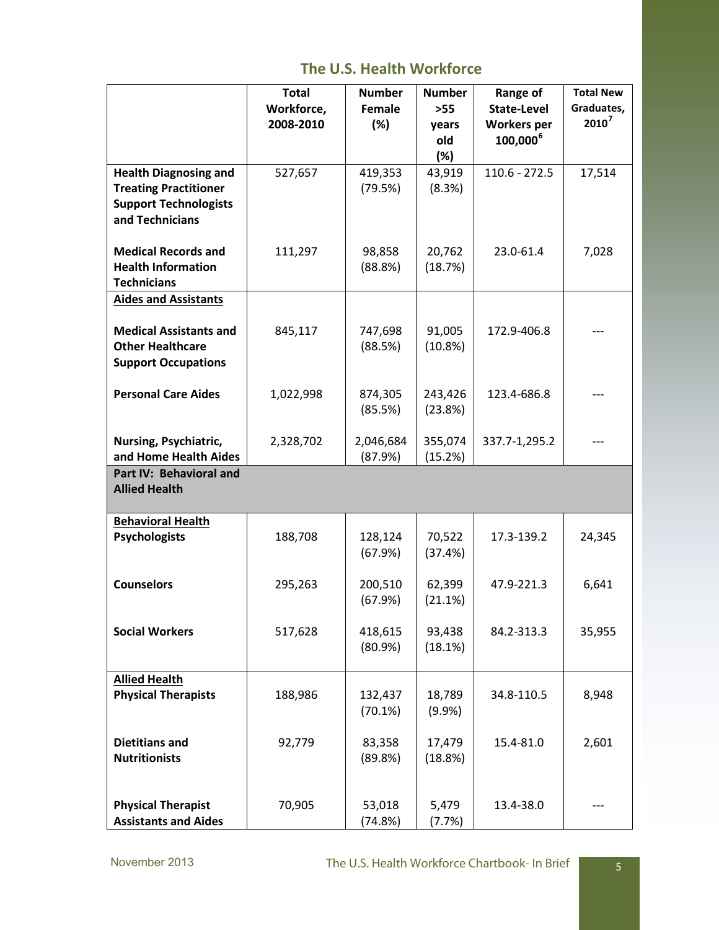|                               | <b>Total</b> | <b>Number</b> | <b>Number</b> | Range of             | <b>Total New</b> |
|-------------------------------|--------------|---------------|---------------|----------------------|------------------|
|                               | Workforce,   | Female        | $>55$         | <b>State-Level</b>   | Graduates,       |
|                               | 2008-2010    | (%)           | years         | <b>Workers</b> per   | $2010^7$         |
|                               |              |               | old           | 100,000 <sup>6</sup> |                  |
|                               |              |               | (%)           |                      |                  |
| <b>Health Diagnosing and</b>  | 527,657      | 419,353       | 43,919        | $110.6 - 272.5$      | 17,514           |
| <b>Treating Practitioner</b>  |              | (79.5%)       | (8.3%)        |                      |                  |
| <b>Support Technologists</b>  |              |               |               |                      |                  |
| and Technicians               |              |               |               |                      |                  |
|                               |              |               |               |                      |                  |
| <b>Medical Records and</b>    | 111,297      | 98,858        | 20,762        | 23.0-61.4            | 7,028            |
| <b>Health Information</b>     |              | (88.8%)       | (18.7%)       |                      |                  |
| <b>Technicians</b>            |              |               |               |                      |                  |
| <b>Aides and Assistants</b>   |              |               |               |                      |                  |
|                               |              |               |               |                      |                  |
| <b>Medical Assistants and</b> | 845,117      | 747,698       | 91,005        | 172.9-406.8          |                  |
| <b>Other Healthcare</b>       |              | (88.5%)       | (10.8%)       |                      |                  |
|                               |              |               |               |                      |                  |
| <b>Support Occupations</b>    |              |               |               |                      |                  |
| <b>Personal Care Aides</b>    |              | 874,305       | 243,426       | 123.4-686.8          |                  |
|                               | 1,022,998    | (85.5%)       | (23.8%)       |                      |                  |
|                               |              |               |               |                      |                  |
| Nursing, Psychiatric,         | 2,328,702    | 2,046,684     | 355,074       | 337.7-1,295.2        |                  |
| and Home Health Aides         |              | (87.9%)       | (15.2%)       |                      |                  |
| Part IV: Behavioral and       |              |               |               |                      |                  |
| <b>Allied Health</b>          |              |               |               |                      |                  |
|                               |              |               |               |                      |                  |
| <b>Behavioral Health</b>      |              |               |               |                      |                  |
| <b>Psychologists</b>          | 188,708      | 128,124       | 70,522        | 17.3-139.2           | 24,345           |
|                               |              |               |               |                      |                  |
|                               |              | (67.9%)       | (37.4%)       |                      |                  |
| <b>Counselors</b>             | 295,263      | 200,510       | 62,399        | 47.9-221.3           | 6,641            |
|                               |              | (67.9%)       | (21.1%)       |                      |                  |
|                               |              |               |               |                      |                  |
| <b>Social Workers</b>         | 517,628      | 418,615       | 93,438        | 84.2-313.3           | 35,955           |
|                               |              | (80.9%)       | (18.1%)       |                      |                  |
|                               |              |               |               |                      |                  |
| <b>Allied Health</b>          |              |               |               |                      |                  |
| <b>Physical Therapists</b>    | 188,986      | 132,437       | 18,789        | 34.8-110.5           | 8,948            |
|                               |              | (70.1%)       | (9.9%         |                      |                  |
|                               |              |               |               |                      |                  |
| <b>Dietitians and</b>         | 92,779       | 83,358        | 17,479        | 15.4-81.0            | 2,601            |
| <b>Nutritionists</b>          |              | (89.8%)       | (18.8%)       |                      |                  |
|                               |              |               |               |                      |                  |
|                               |              |               |               |                      |                  |
| <b>Physical Therapist</b>     | 70,905       | 53,018        | 5,479         | 13.4-38.0            |                  |
| <b>Assistants and Aides</b>   |              | (74.8%)       | (7.7%)        |                      |                  |
|                               |              |               |               |                      |                  |